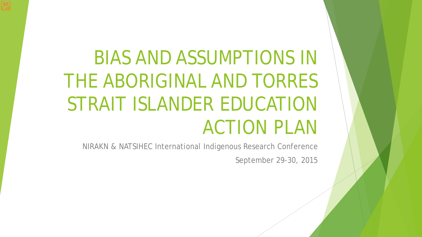# BIAS AND ASSUMPTIONS IN THE ABORIGINAL AND TORRES STRAIT ISLANDER EDUCATION ACTION PLAN

NIRAKN & NATSIHEC International Indigenous Research Conference

September 29-30, 2015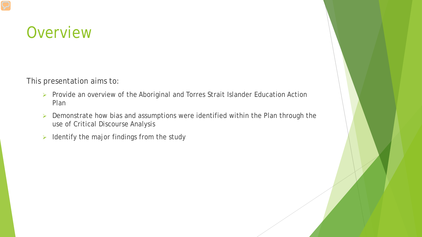#### **Overview**

This presentation aims to:

- Provide an overview of the Aboriginal and Torres Strait Islander Education Action Plan
- $\triangleright$  Demonstrate how bias and assumptions were identified within the Plan through the use of Critical Discourse Analysis
- $\triangleright$  Identify the major findings from the study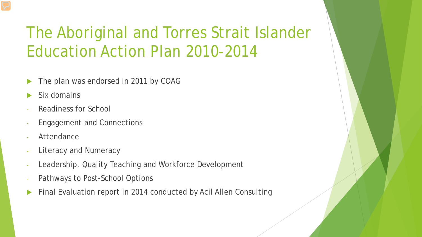### The Aboriginal and Torres Strait Islander Education Action Plan 2010-2014

- The plan was endorsed in 2011 by COAG
- Six domains
- Readiness for School
- Engagement and Connections
- **Attendance**
- Literacy and Numeracy
- Leadership, Quality Teaching and Workforce Development
- Pathways to Post-School Options
- Final Evaluation report in 2014 conducted by Acil Allen Consulting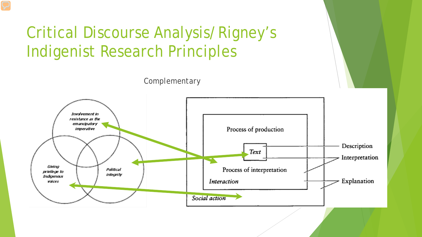### Critical Discourse Analysis/Rigney's Indigenist Research Principles



*Complementary*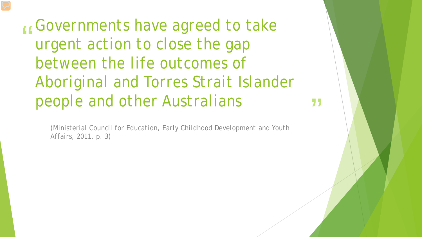"<br>"<br>" *Governments have agreed to take urgent action to close the gap between the life outcomes of Aboriginal and Torres Strait Islander people and other Australians*

*(Ministerial Council for Education, Early Childhood Development and Youth Affairs, 2011, p. 3)*

,<br>,<br>,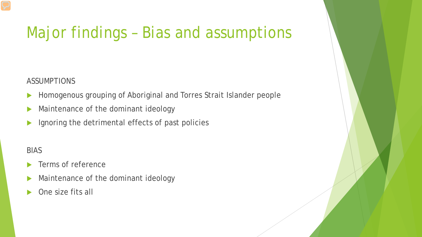### Major findings – Bias and assumptions

#### ASSUMPTIONS

- Homogenous grouping of Aboriginal and Torres Strait Islander people
- Maintenance of the dominant ideology
- Ignoring the detrimental effects of past policies

#### BIAS

- Terms of reference
- Maintenance of the dominant ideology
- One size fits all